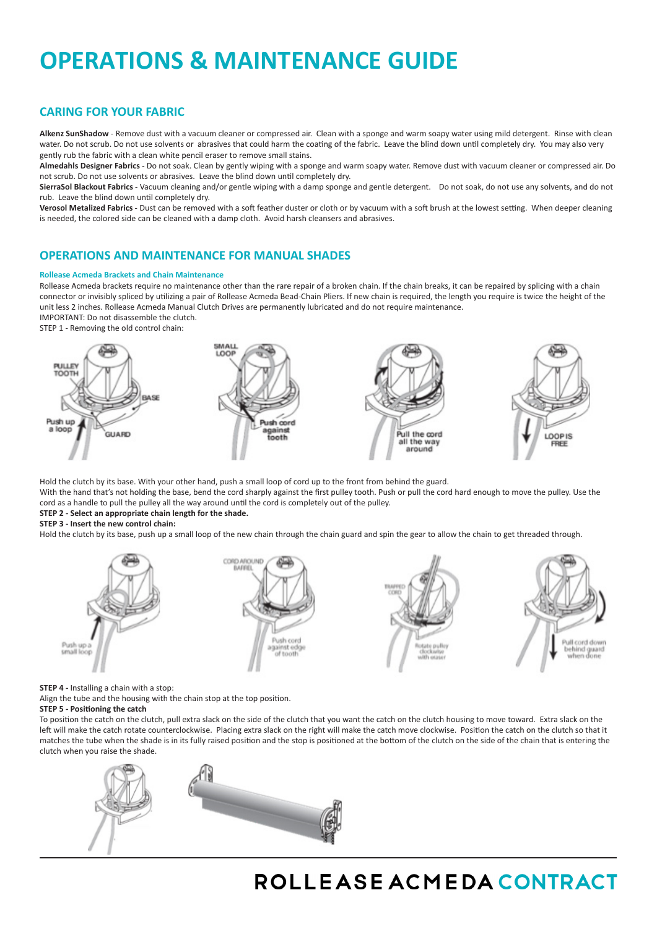# **OPERATIONS & MAINTENANCE GUIDE**

# **CARING FOR YOUR FABRIC**

**Alkenz SunShadow** - Remove dust with a vacuum cleaner or compressed air. Clean with a sponge and warm soapy water using mild detergent. Rinse with clean water. Do not scrub. Do not use solvents or abrasives that could harm the coating of the fabric. Leave the blind down until completely dry. You may also very gently rub the fabric with a clean white pencil eraser to remove small stains.

**Almedahls Designer Fabrics** - Do not soak. Clean by gently wiping with a sponge and warm soapy water. Remove dust with vacuum cleaner or compressed air. Do not scrub. Do not use solvents or abrasives. Leave the blind down until completely dry.

**SierraSol Blackout Fabrics** - Vacuum cleaning and/or gentle wiping with a damp sponge and gentle detergent. Do not soak, do not use any solvents, and do not rub. Leave the blind down until completely dry.

**Verosol Metalized Fabrics** - Dust can be removed with a soft feather duster or cloth or by vacuum with a soft brush at the lowest setting. When deeper cleaning is needed, the colored side can be cleaned with a damp cloth. Avoid harsh cleansers and abrasives.

# **OPERATIONS AND MAINTENANCE FOR MANUAL SHADES**

## **Rollease Acmeda Brackets and Chain Maintenance**

Rollease Acmeda brackets require no maintenance other than the rare repair of a broken chain. If the chain breaks, it can be repaired by splicing with a chain connector or invisibly spliced by utilizing a pair of Rollease Acmeda Bead-Chain Pliers. If new chain is required, the length you require is twice the height of the unit less 2 inches. Rollease Acmeda Manual Clutch Drives are permanently lubricated and do not require maintenance. IMPORTANT: Do not disassemble the clutch.

STEP 1 - Removing the old control chain:



Hold the clutch by its base. With your other hand, push a small loop of cord up to the front from behind the guard.

With the hand that's not holding the base, bend the cord sharply against the first pulley tooth. Push or pull the cord hard enough to move the pulley. Use the cord as a handle to pull the pulley all the way around until the cord is completely out of the pulley.

# **STEP 2 - Select an appropriate chain length for the shade.**

# **STEP 3 - Insert the new control chain:**

Hold the clutch by its base, push up a small loop of the new chain through the chain guard and spin the gear to allow the chain to get threaded through.



**STEP 4** - Installing a chain with a stop:

Align the tube and the housing with the chain stop at the top position.

## **STEP 5 - Positioning the catch**

To position the catch on the clutch, pull extra slack on the side of the clutch that you want the catch on the clutch housing to move toward. Extra slack on the left will make the catch rotate counterclockwise. Placing extra slack on the right will make the catch move clockwise. Position the catch on the clutch so that it matches the tube when the shade is in its fully raised position and the stop is positioned at the bottom of the clutch on the side of the chain that is entering the clutch when you raise the shade.



# ROLLEASE ACMEDA CONTRACT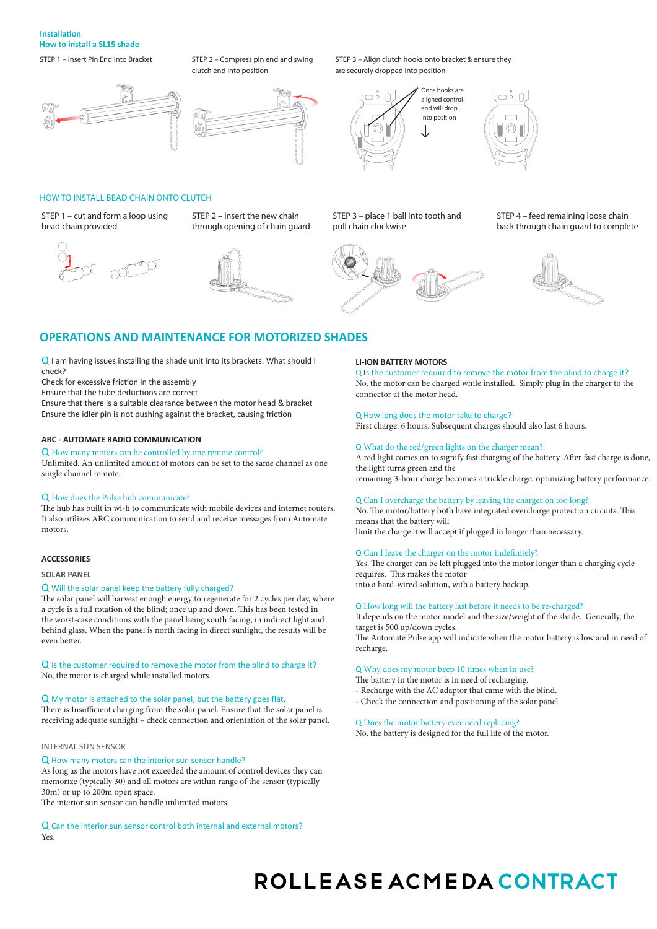# **Installation How to install a SL15 shade**

STEP 1 – Insert Pin End Into Bracket STEP 2 – Compress pin end and swing



STEP 1 – cut and form a loop using

bead chain provided

HOW TO INSTALL BEAD CHAIN ONTO CLUTCH

 $\mathcal{D}$ 

clutch end into position



STEP 2 – insert the new chain through opening of chain guard

## STEP 3 – Align clutch hooks onto bracket & ensure they are securely dropped into position





STEP 3 – place 1 ball into tooth and pull chain clockwise



STEP 4 – feed remaining loose chain back through chain guard to complete



# **OPERATIONS AND MAINTENANCE FOR MOTORIZED SHADES**

Q I am having issues installing the shade unit into its brackets. What should I check?

Check for excessive friction in the assembly

Ensure that the tube deductions are correct

Ensure that there is a suitable clearance between the motor head & bracket Ensure the idler pin is not pushing against the bracket, causing friction

### **ARC - AUTOMATE RADIO COMMUNICATION**

# Q How many motors can be controlled by one remote control?

Unlimited. An unlimited amount of motors can be set to the same channel as one single channel remote.

#### Q How does the Pulse hub communicate?

The hub has built in wi-fi to communicate with mobile devices and internet routers. It also utilizes ARC communication to send and receive messages from Automate motors.

## **ACCESSORIES**

#### **SOLAR PANEL**

#### Q Will the solar panel keep the battery fully charged?

The solar panel will harvest enough energy to regenerate for 2 cycles per day, where a cycle is a full rotation of the blind; once up and down. This has been tested in the worst-case conditions with the panel being south facing, in indirect light and behind glass. When the panel is north facing in direct sunlight, the results will be even better.

Q Is the customer required to remove the motor from the blind to charge it? No, the motor is charged while installed.motors.

## Q My motor is attached to the solar panel, but the battery goes flat.

There is Insufficient charging from the solar panel. Ensure that the solar panel is receiving adequate sunlight – check connection and orientation of the solar panel.

#### INTERNAL SUN SENSOR

#### Q How many motors can the interior sun sensor handle?

As long as the motors have not exceeded the amount of control devices they can memorize (typically 30) and all motors are within range of the sensor (typically 30m) or up to 200m open space.

The interior sun sensor can handle unlimited motors.

Q Can the interior sun sensor control both internal and external motors? Yes.

#### **LI-ION BATTERY MOTORS**

Q Is the customer required to remove the motor from the blind to charge it? No, the motor can be charged while installed. Simply plug in the charger to the connector at the motor head.

#### Q How long does the motor take to charge?

First charge: 6 hours. Subsequent charges should also last 6 hours.

#### Q What do the red/green lights on the charger mean?

A red light comes on to signify fast charging of the battery. After fast charge is done, the light turns green and the remaining 3-hour charge becomes a trickle charge, optimizing battery performance.

# Q Can I overcharge the battery by leaving the charger on too long?

No. The motor/battery both have integrated overcharge protection circuits. This means that the battery will

limit the charge it will accept if plugged in longer than necessary.

#### Q Can I leave the charger on the motor indefinitely?

Yes. The charger can be left plugged into the motor longer than a charging cycle requires. This makes the motor into a hard-wired solution, with a battery backup.

Q How long will the battery last before it needs to be re-charged?

It depends on the motor model and the size/weight of the shade. Generally, the target is 500 up/down cycles. The Automate Pulse app will indicate when the motor battery is low and in need of

recharge.

### Q Why does my motor beep 10 times when in use?

The battery in the motor is in need of recharging.

- Recharge with the AC adaptor that came with the blind.

- Check the connection and positioning of the solar panel

# Q Does the motor battery ever need replacing?

No, the battery is designed for the full life of the motor.

# ROLLEASE ACMEDA CONTRACT